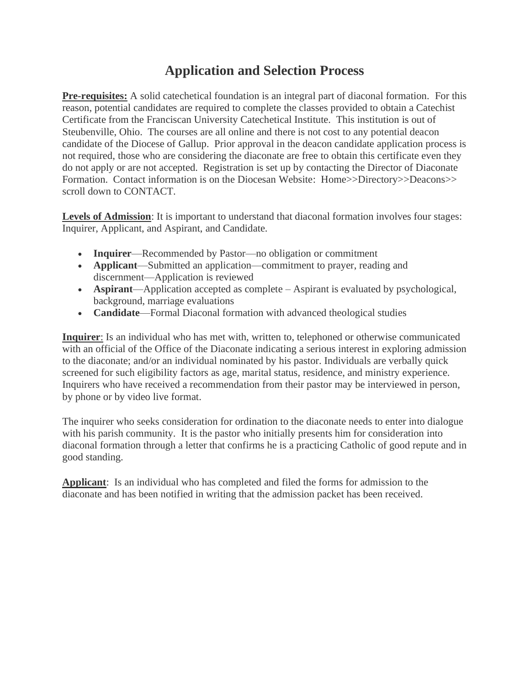## **Application and Selection Process**

**Pre-requisites:** A solid catechetical foundation is an integral part of diaconal formation. For this reason, potential candidates are required to complete the classes provided to obtain a Catechist Certificate from the Franciscan University Catechetical Institute. This institution is out of Steubenville, Ohio. The courses are all online and there is not cost to any potential deacon candidate of the Diocese of Gallup. Prior approval in the deacon candidate application process is not required, those who are considering the diaconate are free to obtain this certificate even they do not apply or are not accepted. Registration is set up by contacting the Director of Diaconate Formation. Contact information is on the Diocesan Website: Home>>Directory>>Deacons>> scroll down to CONTACT.

**Levels of Admission**: It is important to understand that diaconal formation involves four stages: Inquirer, Applicant, and Aspirant, and Candidate.

- **Inquirer—Recommended by Pastor—no obligation or commitment**
- **Applicant**—Submitted an application—commitment to prayer, reading and discernment—Application is reviewed
- **Aspirant**—Application accepted as complete Aspirant is evaluated by psychological, background, marriage evaluations
- **Candidate**—Formal Diaconal formation with advanced theological studies

**Inquirer**: Is an individual who has met with, written to, telephoned or otherwise communicated with an official of the Office of the Diaconate indicating a serious interest in exploring admission to the diaconate; and/or an individual nominated by his pastor. Individuals are verbally quick screened for such eligibility factors as age, marital status, residence, and ministry experience. Inquirers who have received a recommendation from their pastor may be interviewed in person, by phone or by video live format.

The inquirer who seeks consideration for ordination to the diaconate needs to enter into dialogue with his parish community. It is the pastor who initially presents him for consideration into diaconal formation through a letter that confirms he is a practicing Catholic of good repute and in good standing.

**Applicant**: Is an individual who has completed and filed the forms for admission to the diaconate and has been notified in writing that the admission packet has been received.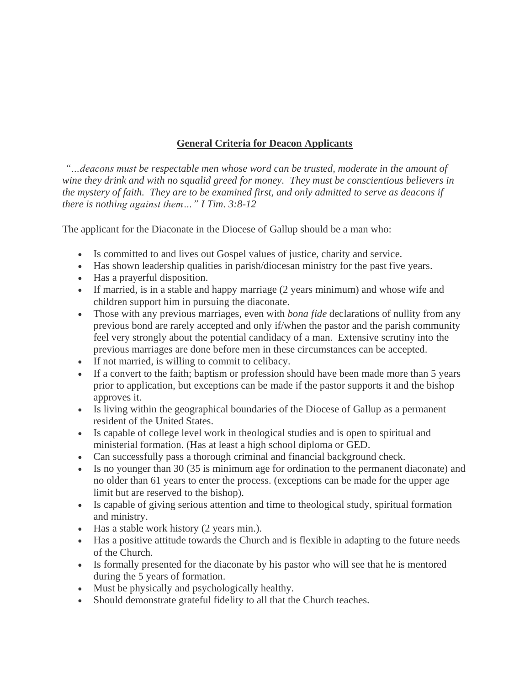## **General Criteria for Deacon Applicants**

*"…deacons must be respectable men whose word can be trusted, moderate in the amount of wine they drink and with no squalid greed for money. They must be conscientious believers in the mystery of faith. They are to be examined first, and only admitted to serve as deacons if there is nothing against them…" I Tim. 3:8-12*

The applicant for the Diaconate in the Diocese of Gallup should be a man who:

- Is committed to and lives out Gospel values of justice, charity and service.
- Has shown leadership qualities in parish/diocesan ministry for the past five years.
- Has a prayerful disposition.
- If married, is in a stable and happy marriage (2 years minimum) and whose wife and children support him in pursuing the diaconate.
- Those with any previous marriages, even with *bona fide* declarations of nullity from any previous bond are rarely accepted and only if/when the pastor and the parish community feel very strongly about the potential candidacy of a man. Extensive scrutiny into the previous marriages are done before men in these circumstances can be accepted.
- If not married, is willing to commit to celibacy.
- If a convert to the faith; baptism or profession should have been made more than 5 years prior to application, but exceptions can be made if the pastor supports it and the bishop approves it.
- Is living within the geographical boundaries of the Diocese of Gallup as a permanent resident of the United States.
- Is capable of college level work in theological studies and is open to spiritual and ministerial formation. (Has at least a high school diploma or GED.
- Can successfully pass a thorough criminal and financial background check.
- Is no younger than 30 (35 is minimum age for ordination to the permanent diaconate) and no older than 61 years to enter the process. (exceptions can be made for the upper age limit but are reserved to the bishop).
- Is capable of giving serious attention and time to theological study, spiritual formation and ministry.
- Has a stable work history (2 years min.).
- Has a positive attitude towards the Church and is flexible in adapting to the future needs of the Church.
- Is formally presented for the diaconate by his pastor who will see that he is mentored during the 5 years of formation.
- Must be physically and psychologically healthy.
- Should demonstrate grateful fidelity to all that the Church teaches.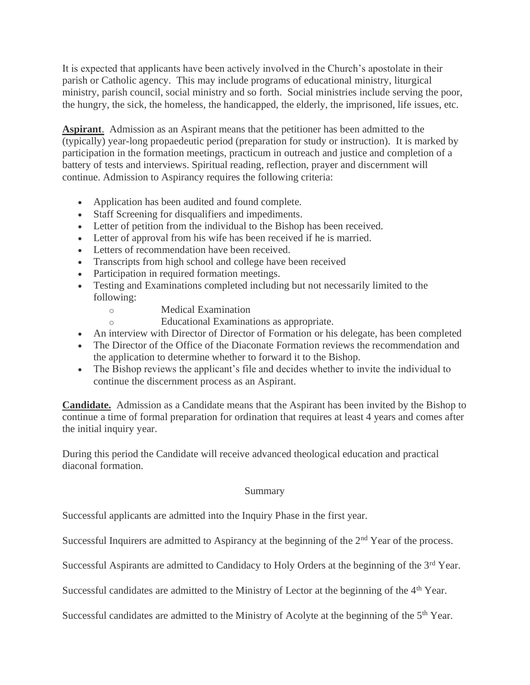It is expected that applicants have been actively involved in the Church's apostolate in their parish or Catholic agency. This may include programs of educational ministry, liturgical ministry, parish council, social ministry and so forth. Social ministries include serving the poor, the hungry, the sick, the homeless, the handicapped, the elderly, the imprisoned, life issues, etc.

**Aspirant**. Admission as an Aspirant means that the petitioner has been admitted to the (typically) year-long propaedeutic period (preparation for study or instruction). It is marked by participation in the formation meetings, practicum in outreach and justice and completion of a battery of tests and interviews. Spiritual reading, reflection, prayer and discernment will continue. Admission to Aspirancy requires the following criteria:

- Application has been audited and found complete.
- Staff Screening for disqualifiers and impediments.
- Letter of petition from the individual to the Bishop has been received.
- Letter of approval from his wife has been received if he is married.
- Letters of recommendation have been received.
- Transcripts from high school and college have been received
- Participation in required formation meetings.
- Testing and Examinations completed including but not necessarily limited to the following:
	- o Medical Examination
	- o Educational Examinations as appropriate.
- An interview with Director of Director of Formation or his delegate, has been completed
- The Director of the Office of the Diaconate Formation reviews the recommendation and the application to determine whether to forward it to the Bishop.
- The Bishop reviews the applicant's file and decides whether to invite the individual to continue the discernment process as an Aspirant.

**Candidate.** Admission as a Candidate means that the Aspirant has been invited by the Bishop to continue a time of formal preparation for ordination that requires at least 4 years and comes after the initial inquiry year.

During this period the Candidate will receive advanced theological education and practical diaconal formation.

## Summary

Successful applicants are admitted into the Inquiry Phase in the first year.

Successful Inquirers are admitted to Aspirancy at the beginning of the 2<sup>nd</sup> Year of the process.

Successful Aspirants are admitted to Candidacy to Holy Orders at the beginning of the 3<sup>rd</sup> Year.

Successful candidates are admitted to the Ministry of Lector at the beginning of the 4<sup>th</sup> Year.

Successful candidates are admitted to the Ministry of Acolyte at the beginning of the  $5<sup>th</sup>$  Year.